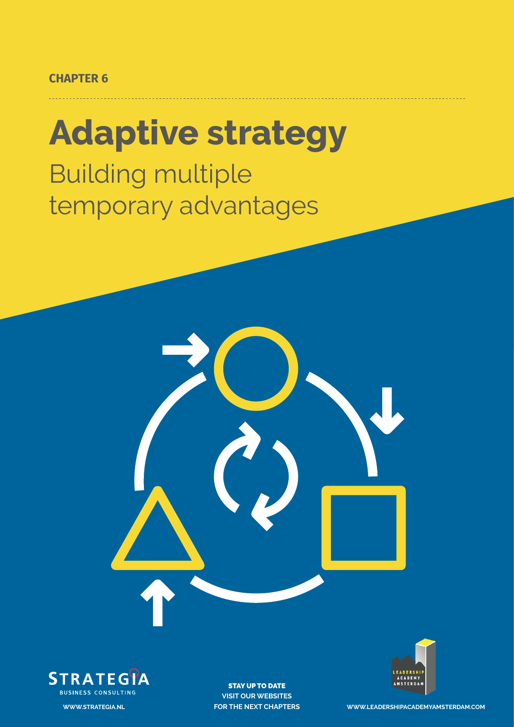#### **CHAPTER 6**

# **Adaptive strategy**

Building multiple temporary advantages





STAY UP TO DATE **VISIT OUR WEBSITES**



**FOR THE NEXT CHAPTERS WWW.LEADERSHIPACADEMYAMSTERDAM.COM**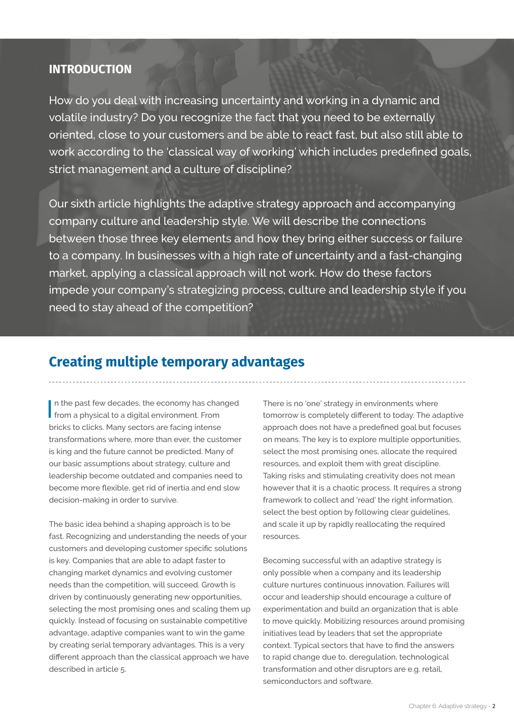#### **INTRODUCTION**

How do you deal with increasing uncertainty and working in a dynamic and volatile industry? Do you recognize the fact that you need to be externally oriented, close to your customers and be able to react fast, but also still able to work according to the 'classical way of working' which includes predefined goals, strict management and a culture of discipline?

Our sixth article highlights the adaptive strategy approach and accompanying company culture and leadership style. We will describe the connections between those three key elements and how they bring either success or failure to a company. In businesses with a high rate of uncertainty and a fast-changing market, applying a classical approach will not work. How do these factors impede your company's strategizing process, culture and leadership style if you need to stay ahead of the competition?

# **Creating multiple temporary advantages**

In the past few decades, the economy has charged from a physical to a digital environment. From n the past few decades, the economy has changed bricks to clicks. Many sectors are facing intense transformations where, more than ever, the customer is king and the future cannot be predicted. Many of our basic assumptions about strategy, culture and leadership become outdated and companies need to become more flexible, get rid of inertia and end slow decision-making in order to survive.

The basic idea behind a shaping approach is to be fast. Recognizing and understanding the needs of your customers and developing customer specific solutions is key. Companies that are able to adapt faster to changing market dynamics and evolving customer needs than the competition, will succeed. Growth is driven by continuously generating new opportunities, selecting the most promising ones and scaling them up quickly. Instead of focusing on sustainable competitive advantage, adaptive companies want to win the game by creating serial temporary advantages. This is a very different approach than the classical approach we have described in article 5.

There is no 'one' strategy in environments where tomorrow is completely different to today. The adaptive approach does not have a predefined goal but focuses on means. The key is to explore multiple opportunities, select the most promising ones, allocate the required resources, and exploit them with great discipline. Taking risks and stimulating creativity does not mean however that it is a chaotic process. It requires a strong framework to collect and 'read' the right information, select the best option by following clear guidelines, and scale it up by rapidly reallocating the required resources.

Becoming successful with an adaptive strategy is only possible when a company and its leadership culture nurtures continuous innovation. Failures will occur and leadership should encourage a culture of experimentation and build an organization that is able to move quickly. Mobilizing resources around promising initiatives lead by leaders that set the appropriate context. Typical sectors that have to find the answers to rapid change due to, deregulation, technological transformation and other disruptors are e.g. retail, semiconductors and software.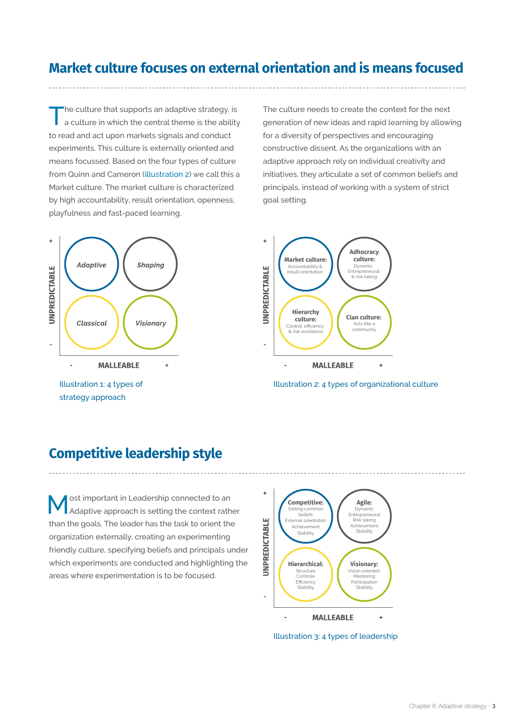# **Market culture focuses on external orientation and is means focused**

The culture that supports an adaptive strategy, is<br>a culture in which the central theme is the ability to read and act upon markets signals and conduct experiments. This culture is externally oriented and means focussed. Based on the four types of culture from Quinn and Cameron (illustration 2) we call this a Market culture. The market culture is characterized by high accountability, result orientation, openness, playfulness and fast-paced learning.



The culture needs to create the context for the next generation of new ideas and rapid learning by allowing for a diversity of perspectives and encouraging constructive dissent. As the organizations with an adaptive approach rely on individual creativity and initiatives, they articulate a set of common beliefs and principals, instead of working with a system of strict goal setting.



Illustration 2: 4 types of organizational culture

#### **Competitive leadership style**

Most important in Leadership connected to an Adaptive approach is setting the context rather than the goals. The leader has the task to orient the organization externally, creating an experimenting friendly culture, specifying beliefs and principals under which experiments are conducted and highlighting the areas where experimentation is to be focused.



Illustration 3: 4 types of leadership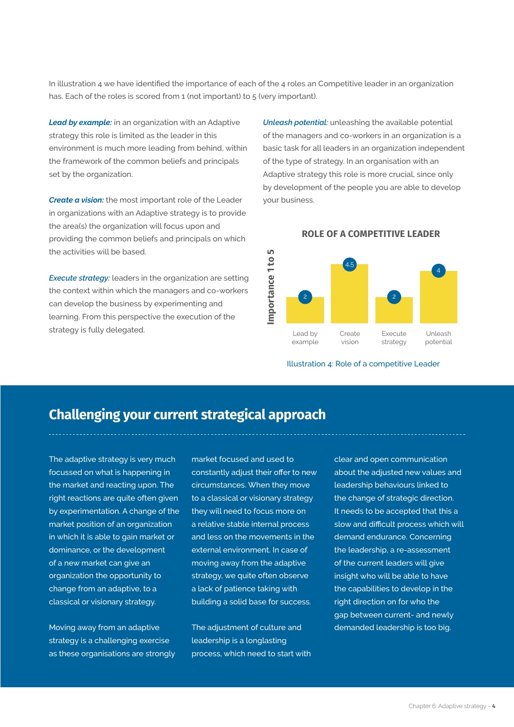In illustration 4 we have identified the importance of each of the 4 roles an Competitive leader in an organization has. Each of the roles is scored from 1 (not important) to 5 (very important).

ഥ

**Lead by example:** in an organization with an Adaptive strategy this role is limited as the leader in this environment is much more leading from behind, within the framework of the common beliefs and principals set by the organization.

*Create a vision:* the most important role of the Leader in organizations with an Adaptive strategy is to provide the area(s) the organization will focus upon and providing the common beliefs and principals on which the activities will be based.

*Execute strategy:* leaders in the organization are setting the context within which the managers and co-workers can develop the business by experimenting and learning. From this perspective the execution of the strategy is fully delegated.

*Unleash potential:* unleashing the available potential of the managers and co-workers in an organization is a basic task for all leaders in an organization independent of the type of strategy. In an organisation with an Adaptive strategy this role is more crucial, since only by development of the people you are able to develop your business.

4,5

**ROLE OF A COMPETITIVE LEADER**



Illustration 4: Role of a competitive Leader

## **Challenging your current strategical approach**

The adaptive strategy is very much focussed on what is happening in the market and reacting upon. The right reactions are quite often given by experimentation. A change of the market position of an organization in which it is able to gain market or dominance, or the development of a new market can give an organization the opportunity to change from an adaptive, to a classical or visionary strategy.

Moving away from an adaptive strategy is a challenging exercise as these organisations are strongly market focused and used to constantly adjust their offer to new circumstances. When they move to a classical or visionary strategy they will need to focus more on a relative stable internal process and less on the movements in the external environment. In case of moving away from the adaptive strategy, we quite often observe a lack of patience taking with building a solid base for success.

The adjustment of culture and leadership is a longlasting process, which need to start with clear and open communication about the adjusted new values and leadership behaviours linked to the change of strategic direction. It needs to be accepted that this a slow and difficult process which will demand endurance. Concerning the leadership, a re-assessment of the current leaders will give insight who will be able to have the capabilities to develop in the right direction on for who the gap between current- and newly demanded leadership is too big.